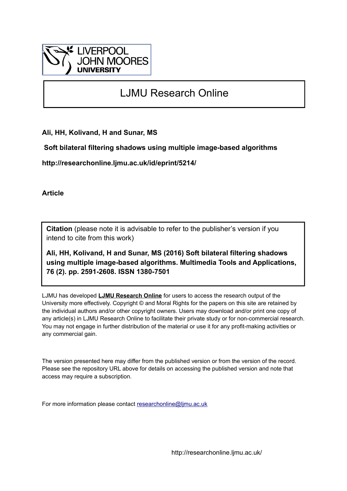

# LJMU Research Online

**Ali, HH, Kolivand, H and Sunar, MS**

 **Soft bilateral filtering shadows using multiple image-based algorithms**

**http://researchonline.ljmu.ac.uk/id/eprint/5214/**

**Article**

**Citation** (please note it is advisable to refer to the publisher's version if you intend to cite from this work)

**Ali, HH, Kolivand, H and Sunar, MS (2016) Soft bilateral filtering shadows using multiple image-based algorithms. Multimedia Tools and Applications, 76 (2). pp. 2591-2608. ISSN 1380-7501** 

LJMU has developed **[LJMU Research Online](http://researchonline.ljmu.ac.uk/)** for users to access the research output of the University more effectively. Copyright © and Moral Rights for the papers on this site are retained by the individual authors and/or other copyright owners. Users may download and/or print one copy of any article(s) in LJMU Research Online to facilitate their private study or for non-commercial research. You may not engage in further distribution of the material or use it for any profit-making activities or any commercial gain.

The version presented here may differ from the published version or from the version of the record. Please see the repository URL above for details on accessing the published version and note that access may require a subscription.

For more information please contact [researchonline@ljmu.ac.uk](mailto:researchonline@ljmu.ac.uk)

http://researchonline.ljmu.ac.uk/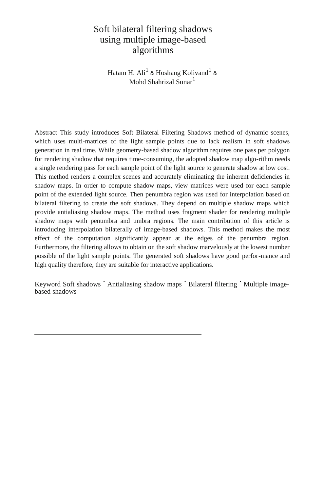## Soft bilateral filtering shadows using multiple image-based algorithms

Hatam H. Ali $^1$  & Hoshang Kolivand $^1$  & Mohd Shahrizal Sunar<sup>1</sup>

Abstract This study introduces Soft Bilateral Filtering Shadows method of dynamic scenes, which uses multi-matrices of the light sample points due to lack realism in soft shadows generation in real time. While geometry-based shadow algorithm requires one pass per polygon for rendering shadow that requires time-consuming, the adopted shadow map algo-rithm needs a single rendering pass for each sample point of the light source to generate shadow at low cost. This method renders a complex scenes and accurately eliminating the inherent deficiencies in shadow maps. In order to compute shadow maps, view matrices were used for each sample point of the extended light source. Then penumbra region was used for interpolation based on bilateral filtering to create the soft shadows. They depend on multiple shadow maps which provide antialiasing shadow maps. The method uses fragment shader for rendering multiple shadow maps with penumbra and umbra regions. The main contribution of this article is introducing interpolation bilaterally of image-based shadows. This method makes the most effect of the computation significantly appear at the edges of the penumbra region. Furthermore, the filtering allows to obtain on the soft shadow marvelously at the lowest number possible of the light sample points. The generated soft shadows have good perfor-mance and high quality therefore, they are suitable for interactive applications.

Keyword Soft shadows . Antialiasing shadow maps . Bilateral filtering . Multiple imagebased shadows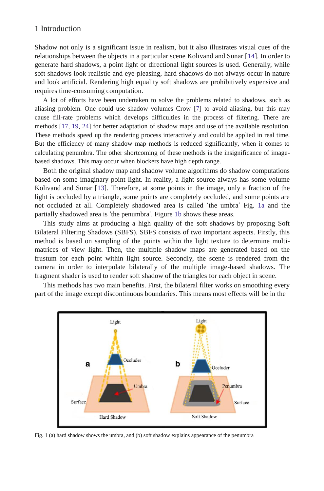## <span id="page-2-0"></span>1 Introduction

Shadow not only is a significant issue in realism, but it also illustrates visual cues of the relationships between the objects in a particular scene Kolivand and Sunar [\[14\]](#page-16-0). In order to generate hard shadows, a point light or directional light sources is used. Generally, while soft shadows look realistic and eye-pleasing, hard shadows do not always occur in nature and look artificial. Rendering high equality soft shadows are prohibitively expensive and requires time-consuming computation.

A lot of efforts have been undertaken to solve the problems related to shadows, such as aliasing problem. One could use shadow volumes Crow [\[7\]](#page-16-1) to avoid aliasing, but this may cause fill-rate problems which develops difficulties in the process of filtering. There are methods [\[17, 19, 24\]](#page-16-0) for better adaptation of shadow maps and use of the available resolution. These methods speed up the rendering process interactively and could be applied in real time. But the efficiency of many shadow map methods is reduced significantly, when it comes to calculating penumbra. The other shortcoming of these methods is the insignificance of imagebased shadows. This may occur when blockers have high depth range.

Both the original shadow map and shadow volume algorithms do shadow computations based on some imaginary point light. In reality, a light source always has some volume Kolivand and Sunar [\[13\]](#page-16-0). Therefore, at some points in the image, only a fraction of the light is occluded by a triangle, some points are completely occluded, and some points are not occluded at all. Completely shadowed area is called 'the umbra' Fig. [1a](#page-2-0) and the partially shadowed area is 'the penumbra'. Figur[e 1b](#page-2-0) shows these areas.

This study aims at producing a high quality of the soft shadows by proposing Soft Bilateral Filtering Shadows (SBFS). SBFS consists of two important aspects. Firstly, this method is based on sampling of the points within the light texture to determine multimatrices of view light. Then, the multiple shadow maps are generated based on the frustum for each point within light source. Secondly, the scene is rendered from the camera in order to interpolate bilaterally of the multiple image-based shadows. The fragment shader is used to render soft shadow of the triangles for each object in scene.

This methods has two main benefits. First, the bilateral filter works on smoothing every part of the image except discontinuous boundaries. This means most effects will be in the



Fig. 1 (a) hard shadow shows the umbra, and (b) soft shadow explains appearance of the penumbra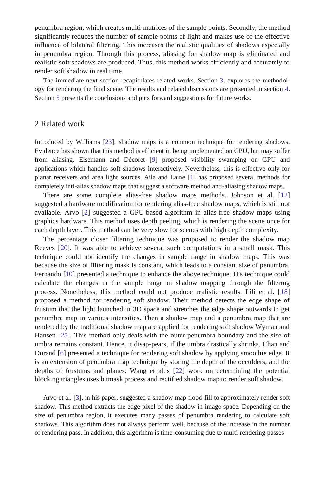penumbra region, which creates multi-matrices of the sample points. Secondly, the method significantly reduces the number of sample points of light and makes use of the effective influence of bilateral filtering. This increases the realistic qualities of shadows especially in penumbra region. Through this process, aliasing for shadow map is eliminated and realistic soft shadows are produced. Thus, this method works efficiently and accurately to render soft shadow in real time.

The immediate next section recapitulates related works. Section [3,](#page-4-0) explores the methodology for rendering the final scene. The results and related discussions are presented in section [4.](#page-10-0) Sectio[n 5](#page-16-1) presents the conclusions and puts forward suggestions for future works.

## 2 Related work

Introduced by Williams [\[23\]](#page-16-0), shadow maps is a common technique for rendering shadows. Evidence has shown that this method is efficient in being implemented on GPU, but may suffer from aliasing. Eisemann and Décoret [\[9\]](#page-16-0) proposed visibility swamping on GPU and applications which handles soft shadows interactively. Nevertheless, this is effective only for planar receivers and area light sources. Aila and Laine [\[1\]](#page-16-1) has proposed several methods for completely inti-alias shadow maps that suggest a software method anti-aliasing shadow maps.

There are some complete alias-free shadow maps methods. Johnson et al. [\[12\]](#page-16-0) suggested a hardware modification for rendering alias-free shadow maps, which is still not available. Arvo [\[2\]](#page-16-1) suggested a GPU-based algorithm in alias-free shadow maps using graphics hardware. This method uses depth peeling, which is rendering the scene once for each depth layer. This method can be very slow for scenes with high depth complexity.

The percentage closer filtering technique was proposed to render the shadow map Reeves [\[20\]](#page-16-0). It was able to achieve several such computations in a small mask. This technique could not identify the changes in sample range in shadow maps. This was because the size of filtering mask is constant, which leads to a constant size of penumbra. Fernando [\[10\]](#page-16-0) presented a technique to enhance the above technique. His technique could calculate the changes in the sample range in shadow mapping through the filtering process. Nonetheless, this method could not produce realistic results. Lili et al. [\[18\]](#page-16-0) proposed a method for rendering soft shadow. Their method detects the edge shape of frustum that the light launched in 3D space and stretches the edge shape outwards to get penumbra map in various intensities. Then a shadow map and a penumbra map that are rendered by the traditional shadow map are applied for rendering soft shadow Wyman and Hansen [\[25\]](#page-16-0). This method only deals with the outer penumbra boundary and the size of umbra remains constant. Hence, it disap-pears, if the umbra drastically shrinks. Chan and Durand [\[6\]](#page-16-1) presented a technique for rendering soft shadow by applying smoothie edge. It is an extension of penumbra map technique by storing the depth of the occulders, and the depths of frustums and planes. Wang et al.'s [\[22\]](#page-16-0) work on determining the potential blocking triangles uses bitmask process and rectified shadow map to render soft shadow.

Arvo et al. [\[3\]](#page-16-1), in his paper, suggested a shadow map flood-fill to approximately render soft shadow. This method extracts the edge pixel of the shadow in image-space. Depending on the size of penumbra region, it executes many passes of penumbra rendering to calculate soft shadows. This algorithm does not always perform well, because of the increase in the number of rendering pass. In addition, this algorithm is time-consuming due to multi-rendering passes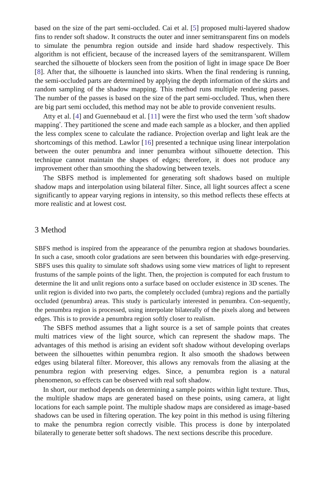<span id="page-4-0"></span>based on the size of the part semi-occluded. Cai et al. [\[5\]](#page-16-1) proposed multi-layered shadow fins to render soft shadow. It constructs the outer and inner semitransparent fins on models to simulate the penumbra region outside and inside hard shadow respectively. This algorithm is not efficient, because of the increased layers of the semitransparent. Willem searched the silhouette of blockers seen from the position of light in image space De Boer [\[8\]](#page-16-1). After that, the silhouette is launched into skirts. When the final rendering is running, the semi-occluded parts are determined by applying the depth information of the skirts and random sampling of the shadow mapping. This method runs multiple rendering passes. The number of the passes is based on the size of the part semi-occluded. Thus, when there are big part semi occluded, this method may not be able to provide convenient results.

Atty et al. [\[4\]](#page-16-1) and Guennebaud et al. [\[11\]](#page-16-0) were the first who used the term 'soft shadow mapping'. They partitioned the scene and made each sample as a blocker, and then applied the less complex scene to calculate the radiance. Projection overlap and light leak are the shortcomings of this method. Lawlor [\[16\]](#page-16-0) presented a technique using linear interpolation between the outer penumbra and inner penumbra without silhouette detection. This technique cannot maintain the shapes of edges; therefore, it does not produce any improvement other than smoothing the shadowing between texels.

The SBFS method is implemented for generating soft shadows based on multiple shadow maps and interpolation using bilateral filter. Since, all light sources affect a scene significantly to appear varying regions in intensity, so this method reflects these effects at more realistic and at lowest cost.

## 3 Method

SBFS method is inspired from the appearance of the penumbra region at shadows boundaries. In such a case, smooth color gradations are seen between this boundaries with edge-preserving. SBFS uses this quality to simulate soft shadows using some view matrices of light to represent frustums of the sample points of the light. Then, the projection is computed for each frustum to determine the lit and unlit regions onto a surface based on occluder existence in 3D scenes. The unlit region is divided into two parts, the completely occluded (umbra) regions and the partially occluded (penumbra) areas. This study is particularly interested in penumbra. Con-sequently, the penumbra region is processed, using interpolate bilaterally of the pixels along and between edges. This is to provide a penumbra region softly closer to realism.

The SBFS method assumes that a light source is a set of sample points that creates multi matrices view of the light source, which can represent the shadow maps. The advantages of this method is arising an evident soft shadow without developing overlaps between the silhouettes within penumbra region. It also smooth the shadows between edges using bilateral filter. Moreover, this allows any removals from the aliasing at the penumbra region with preserving edges. Since, a penumbra region is a natural phenomenon, so effects can be observed with real soft shadow.

In short, our method depends on determining a sample points within light texture. Thus, the multiple shadow maps are generated based on these points, using camera, at light locations for each sample point. The multiple shadow maps are considered as image-based shadows can be used in filtering operation. The key point in this method is using filtering to make the penumbra region correctly visible. This process is done by interpolated bilaterally to generate better soft shadows. The next sections describe this procedure.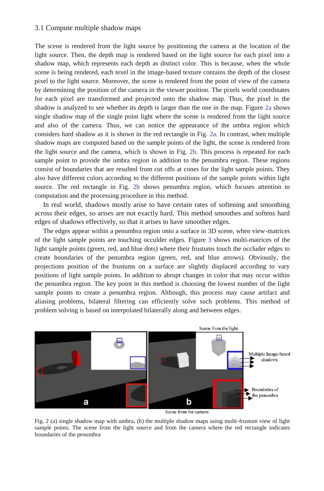#### <span id="page-5-0"></span>3.1 Compute multiple shadow maps

The scene is rendered from the light source by positioning the camera at the location of the light source. Then, the depth map is rendered based on the light source for each pixel into a shadow map, which represents each depth as distinct color. This is because, when the whole scene is being rendered, each texel in the image-based texture contains the depth of the closest pixel to the light source. Moreover, the scene is rendered from the point of view of the camera by determining the position of the camera in the viewer position. The pixels world coordinates for each pixel are transformed and projected onto the shadow map. Thus, the pixel in the shadow is analyzed to see whether its depth is larger than the one in the map. Figure [2a](#page-5-0) shows single shadow map of the single point light where the scene is rendered from the light source and also of the camera. Thus, we can notice the appearance of the umbra region which considers hard shadow as it is shown in the red rectangle in Fig. [2a.](#page-5-0) In contrast, when multiple shadow maps are computed based on the sample points of the light, the scene is rendered from the light source and the camera, which is shown in Fig. [2b.](#page-5-0) This process is repeated for each sample point to provide the umbra region in addition to the penumbra region. These regions consist of boundaries that are resulted from cut offs at cones for the light sample points. They also have different colors according to the different positions of the sample points within light source. The red rectangle in Fig. [2b](#page-5-0) shows penumbra region, which focuses attention to computation and the processing procedure in this method.

In real world, shadows mostly arise to have certain rates of softening and smoothing across their edges, so arises are not exactly hard. This method smoothes and softens hard edges of shadows effectively, so that it arises to have smoother edges.

The edges appear within a penumbra region onto a surface in 3D scene, when view-matrices of the light sample points are touching occulder edges. Figure [3](#page-6-0) shows multi-matrices of the light sample points (green, red, and blue dots) where their frustums touch the occluder edges to create boundaries of the penumbra region (green, red, and blue arrows). Obviously, the projections position of the frustums on a surface are slightly displaced according to vary positions of light sample points. In addition to abrupt changes in color that may occur within the penumbra region. The key point in this method is choosing the lowest number of the light sample points to create a penumbra region. Although, this process may cause artifact and aliasing problems, bilateral filtering can efficiently solve such problems. This method of problem solving is based on interpolated bilaterally along and between edges.



Scene from the camera

Fig. 2 (a) single shadow map with umbra, (b) the multiple shadow maps using multi-frustum view of light sample points. The scene from the light source and from the camera where the red rectangle indicates boundaries of the penumbra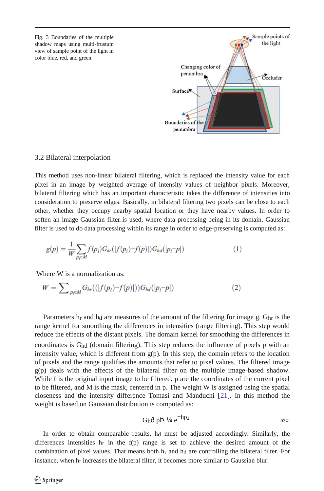<span id="page-6-0"></span>Fig. 3 Boundaries of the multiple shadow maps using multi-frustum view of sample point of the light in color blue, red, and green



#### 3.2 Bilateral interpolation

This method uses non-linear bilateral filtering, which is replaced the intensity value for each pixel in an image by weighted average of intensity values of neighbor pixels. Moreover, bilateral filtering which has an important characteristic takes the difference of intensities into consideration to preserve edges. Basically, in bilateral filtering two pixels can be close to each other, whether they occupy nearby spatial location or they have nearby values. In order to soften an image Gaussian filter is used, where data processing being in its domain. Gaussian filter is used to do data processing within its range in order to edge-preserving is computed as:

$$
g(p) = \frac{1}{W} \sum_{p_i \in M} f(p_i) G_{hr}(|f(p_i) - f(p)|) G_{hd}(|p_i - p|)
$$
 (1)

Where W is a normalization as:

$$
W = \sum_{p_i \in M} G_{hr}((|f(p_i) - f(p)|)) G_{hd}(|p_i - p|)
$$
 (2)

Parameters  $h_r$  and  $h_d$  are measures of the amount of the filtering for image g.  $G_{hr}$  is the range kernel for smoothing the differences in intensities (range filtering). This step would reduce the effects of the distant pixels. The domain kernel for smoothing the differences in coordinates is  $G<sub>hd</sub>$  (domain filtering). This step reduces the influence of pixels p with an intensity value, which is different from  $g(p)$ . In this step, the domain refers to the location of pixels and the range qualifies the amounts that refer to pixel values. The filtered image g(p) deals with the effects of the bilateral filter on the multiple image-based shadow. While f is the original input image to be filtered, p are the coordinates of the current pixel to be filtered, and M is the mask, centered in p. The weight W is assigned using the spatial closeness and the intensity difference Tomasi and Manduchi [\[21\]](#page-16-0). In this method the weight is based on Gaussian distribution is computed as:

$$
G_h \delta p \mathsf{P} \mathcal{V}_4 e^{-hp_2} \tag{33}
$$

In order to obtain comparable results, hd must be adjusted accordingly. Similarly, the differences intensities  $h_r$  in the f(p) range is set to achieve the desired amount of the combination of pixel values. That means both  $h<sub>r</sub>$  and  $h<sub>d</sub>$  are controlling the bilateral filter. For instance, when hr increases the bilateral filter, it becomes more similar to Gaussian blur.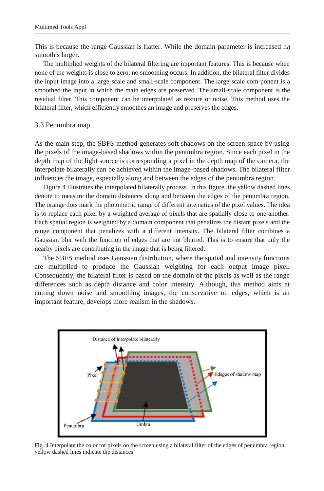<span id="page-7-0"></span>This is because the range Gaussian is flatter. While the domain parameter is increased hd smooth's larger.

The multiplied weights of the bilateral filtering are important features. This is because when none of the weights is close to zero, no smoothing occurs. In addition, the bilateral filter divides the input image into a large-scale and small-scale component. The large-scale com-ponent is a smoothed the input in which the main edges are preserved. The small-scale component is the residual filter. This component can be interpolated as texture or noise. This method uses the bilateral filter, which efficiently smoothes an image and preserves the edges.

#### 3.3 Penumbra map

As the main step, the SBFS method generates soft shadows on the screen space by using the pixels of the image-based shadows within the penumbra region. Since each pixel in the depth map of the light source is corresponding a pixel in the depth map of the camera, the interpolate bilaterally can be achieved within the image-based shadows. The bilateral filter influences the image, especially along and between the edges of the penumbra region.

Figur[e 4](#page-7-0) illustrates the interpolated bilaterally process. In this figure, the yellow dashed lines denote to measure the domain distances along and between the edges of the penumbra region. The orange dots mark the photometric range of different intensities of the pixel values. The idea is to replace each pixel by a weighted average of pixels that are spatially close to one another. Each spatial region is weighted by a domain component that penalizes the distant pixels and the range component that penalizes with a different intensity. The bilateral filter combines a Gaussian blur with the function of edges that are not blurred. This is to ensure that only the nearby pixels are contributing in the image that is being filtered.

The SBFS method uses Gaussian distribution, where the spatial and intensity functions are multiplied to produce the Gaussian weighting for each output image pixel. Consequently, the bilateral filter is based on the domain of the pixels as well as the range differences such as depth distance and color intensity. Although, this method aims at cutting down noise and smoothing images, the conservative on edges, which is an important feature, develops more realism in the shadows.



Fig. 4 Interpolate the color for pixels on the screen using a bilateral filter of the edges of penumbra region, yellow dashed lines indicate the distances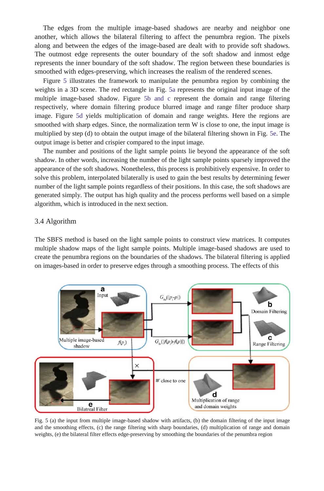<span id="page-8-0"></span>The edges from the multiple image-based shadows are nearby and neighbor one another, which allows the bilateral filtering to affect the penumbra region. The pixels along and between the edges of the image-based are dealt with to provide soft shadows. The outmost edge represents the outer boundary of the soft shadow and inmost edge represents the inner boundary of the soft shadow. The region between these boundaries is smoothed with edges-preserving, which increases the realism of the rendered scenes.

Figure [5](#page-8-0) illustrates the framework to manipulate the penumbra region by combining the weights in a 3D scene. The red rectangle in Fig. [5a](#page-8-0) represents the original input image of the multiple image-based shadow. Figure [5b and c](#page-8-0) represent the domain and range filtering respectively, where domain filtering produce blurred image and range filter produce sharp image. Figure [5d](#page-8-0) yields multiplication of domain and range weights. Here the regions are smoothed with sharp edges. Since, the normalization term W is close to one, the input image is multiplied by step (d) to obtain the output image of the bilateral filtering shown in Fig. [5e.](#page-8-0) The output image is better and crispier compared to the input image.

The number and positions of the light sample points lie beyond the appearance of the soft shadow. In other words, increasing the number of the light sample points sparsely improved the appearance of the soft shadows. Nonetheless, this process is prohibitively expensive. In order to solve this problem, interpolated bilaterally is used to gain the best results by determining fewer number of the light sample points regardless of their positions. In this case, the soft shadows are generated simply. The output has high quality and the process performs well based on a simple algorithm, which is introduced in the next section.

#### 3.4 Algorithm

The SBFS method is based on the light sample points to construct view matrices. It computes multiple shadow maps of the light sample points. Multiple image-based shadows are used to create the penumbra regions on the boundaries of the shadows. The bilateral filtering is applied on images-based in order to preserve edges through a smoothing process. The effects of this



Fig. 5 (a) the input from multiple image-based shadow with artifacts, (b) the domain filtering of the input image and the smoothing effects, (c) the range filtering with sharp boundaries, (d) multiplication of range and domain weights, (e) the bilateral filter effects edge-preserving by smoothing the boundaries of the penumbra region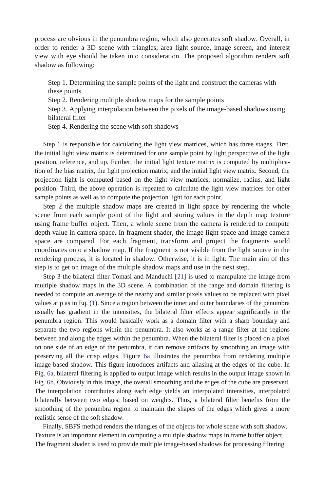process are obvious in the penumbra region, which also generates soft shadow. Overall, in order to render a 3D scene with triangles, area light source, image screen, and interest view with eye should be taken into consideration. The proposed algorithm renders soft shadow as following:

Step 1. Determining the sample points of the light and construct the cameras with these points

Step 2. Rendering multiple shadow maps for the sample points

Step 3. Applying interpolation between the pixels of the image-based shadows using bilateral filter

Step 4. Rendering the scene with soft shadows

Step 1 is responsible for calculating the light view matrices, which has three stages. First, the initial light view matrix is determined for one sample point by light perspective of the light position, reference, and up. Further, the initial light texture matrix is computed by multiplication of the bias matrix, the light projection matrix, and the initial light view matrix. Second, the projection light is computed based on the light view matrices, normalize, radius, and light position. Third, the above operation is repeated to calculate the light view matrices for other sample points as well as to compute the projection light for each point.

Step 2 the multiple shadow maps are created in light space by rendering the whole scene from each sample point of the light and storing values in the depth map texture using frame buffer object. Then, a whole scene from the camera is rendered to compute depth value in camera space. In fragment shader, the image light space and image camera space are compared. For each fragment, transform and project the fragments world coordinates onto a shadow map. If the fragment is not visible from the light source in the rendering process, it is located in shadow. Otherwise, it is in light. The main aim of this step is to get on image of the multiple shadow maps and use in the next step.

Step 3 the bilateral filter Tomasi and Manduchi [\[21\]](#page-16-0) is used to manipulate the image from multiple shadow maps in the 3D scene. A combination of the range and domain filtering is needed to compute an average of the nearby and similar pixels values to be replaced with pixel values at p as in Eq. [\(1\)](#page-6-0). Since a region between the inner and outer boundaries of the penumbra usually has gradient in the intensities, the bilateral filter effects appear significantly in the penumbra region. This would basically work as a domain filter with a sharp boundary and separate the two regions within the penumbra. It also works as a range filter at the regions between and along the edges within the penumbra. When the bilateral filter is placed on a pixel on one side of an edge of the penumbra, it can remove artifacts by smoothing an image with preserving all the crisp edges. Figure [6a](#page-10-0) illustrates the penumbra from rendering multiple image-based shadow. This figure introduces artifacts and aliasing at the edges of the cube. In Fig[. 6a,](#page-10-0) bilateral filtering is applied to output image which results in the output image shown in Fig[. 6b.](#page-10-0) Obviously in this image, the overall smoothing and the edges of the cube are preserved. The interpolation contributes along each edge yields an interpolated intensities, interpolated bilaterally between two edges, based on weights. Thus, a bilateral filter benefits from the smoothing of the penumbra region to maintain the shapes of the edges which gives a more realistic sense of the soft shadow.

Finally, SBFS method renders the triangles of the objects for whole scene with soft shadow. Texture is an important element in computing a multiple shadow maps in frame buffer object. The fragment shader is used to provide multiple image-based shadows for processing filtering.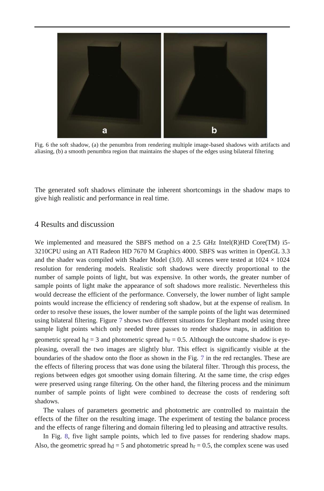<span id="page-10-0"></span>

Fig. 6 the soft shadow, (a) the penumbra from rendering multiple image-based shadows with artifacts and aliasing, (b) a smooth penumbra region that maintains the shapes of the edges using bilateral filtering

The generated soft shadows eliminate the inherent shortcomings in the shadow maps to give high realistic and performance in real time.

## 4 Results and discussion

We implemented and measured the SBFS method on a 2.5 GHz Intel(R)HD Core(TM) i5-3210CPU using an ATI Radeon HD 7670 M Graphics 4000. SBFS was written in OpenGL 3.3 and the shader was compiled with Shader Model (3.0). All scenes were tested at  $1024 \times 1024$ resolution for rendering models. Realistic soft shadows were directly proportional to the number of sample points of light, but was expensive. In other words, the greater number of sample points of light make the appearance of soft shadows more realistic. Nevertheless this would decrease the efficient of the performance. Conversely, the lower number of light sample points would increase the efficiency of rendering soft shadow, but at the expense of realism. In order to resolve these issues, the lower number of the sample points of the light was determined using bilateral filtering. Figure [7](#page-11-0) shows two different situations for Elephant model using three sample light points which only needed three passes to render shadow maps, in addition to geometric spread  $h_d = 3$  and photometric spread  $h_r = 0.5$ . Although the outcome shadow is eyepleasing, overall the two images are slightly blur. This effect is significantly visible at the boundaries of the shadow onto the floor as shown in the Fig. [7](#page-11-0) in the red rectangles. These are the effects of filtering process that was done using the bilateral filter. Through this process, the regions between edges got smoother using domain filtering. At the same time, the crisp edges were preserved using range filtering. On the other hand, the filtering process and the minimum number of sample points of light were combined to decrease the costs of rendering soft shadows.

The values of parameters geometric and photometric are controlled to maintain the effects of the filter on the resulting image. The experiment of testing the balance process and the effects of range filtering and domain filtering led to pleasing and attractive results.

In Fig. [8,](#page-11-0) five light sample points, which led to five passes for rendering shadow maps. Also, the geometric spread  $h_d = 5$  and photometric spread  $h_r = 0.5$ , the complex scene was used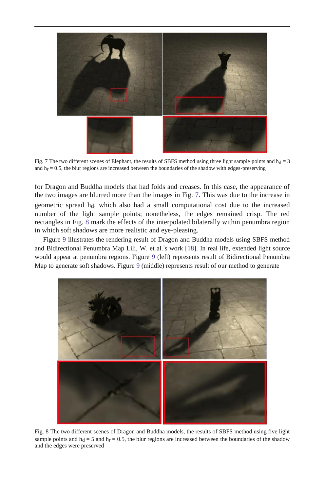<span id="page-11-0"></span>

Fig. 7 The two different scenes of Elephant, the results of SBFS method using three light sample points and  $h_d = 3$ and  $h_r = 0.5$ , the blur regions are increased between the boundaries of the shadow with edges-preserving

for Dragon and Buddha models that had folds and creases. In this case, the appearance of the two images are blurred more than the images in Fig. [7.](#page-11-0) This was due to the increase in geometric spread hd, which also had a small computational cost due to the increased number of the light sample points; nonetheless, the edges remained crisp. The red rectangles in Fig. [8](#page-11-0) mark the effects of the interpolated bilaterally within penumbra region in which soft shadows are more realistic and eye-pleasing.

Figure [9](#page-12-0) illustrates the rendering result of Dragon and Buddha models using SBFS method and Bidirectional Penumbra Map Lili, W. et al.'s work [\[18\]](#page-16-0). In real life, extended light source would appear at penumbra regions. Figure [9](#page-12-0) (left) represents result of Bidirectional Penumbra Map to generate soft shadows. Figur[e 9](#page-12-0) (middle) represents result of our method to generate



Fig. 8 The two different scenes of Dragon and Buddha models, the results of SBFS method using five light sample points and  $h_d = 5$  and  $h_r = 0.5$ , the blur regions are increased between the boundaries of the shadow and the edges were preserved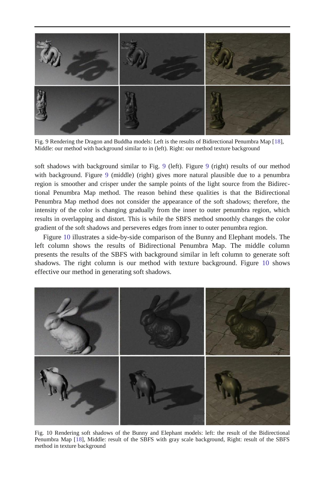<span id="page-12-0"></span>

Fig. 9 Rendering the Dragon and Buddha models: Left is the results of Bidirectional Penumbra Map [\[18\]](#page-16-0), Middle: our method with background similar to in (left). Right: our method texture background

soft shadows with background similar to Fig. [9](#page-12-0) (left). Figure [9](#page-12-0) (right) results of our method with background. Figure [9](#page-12-0) (middle) (right) gives more natural plausible due to a penumbra region is smoother and crisper under the sample points of the light source from the Bidirectional Penumbra Map method. The reason behind these qualities is that the Bidirectional Penumbra Map method does not consider the appearance of the soft shadows; therefore, the intensity of the color is changing gradually from the inner to outer penumbra region, which results in overlapping and distort. This is while the SBFS method smoothly changes the color gradient of the soft shadows and perseveres edges from inner to outer penumbra region.

Figure [10](#page-12-0) illustrates a side-by-side comparison of the Bunny and Elephant models. The left column shows the results of Bidirectional Penumbra Map. The middle column presents the results of the SBFS with background similar in left column to generate soft shadows. The right column is our method with texture background. Figure [10](#page-12-0) shows effective our method in generating soft shadows.



Fig. 10 Rendering soft shadows of the Bunny and Elephant models: left: the result of the Bidirectional Penumbra Map [\[18\]](#page-16-0), Middle: result of the SBFS with gray scale background, Right: result of the SBFS method in texture background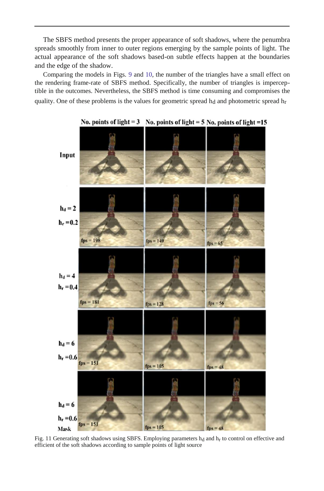<span id="page-13-0"></span>The SBFS method presents the proper appearance of soft shadows, where the penumbra spreads smoothly from inner to outer regions emerging by the sample points of light. The actual appearance of the soft shadows based-on subtle effects happen at the boundaries and the edge of the shadow.

Comparing the models in Figs. [9](#page-12-0) and [10,](#page-12-0) the number of the triangles have a small effect on the rendering frame-rate of SBFS method. Specifically, the number of triangles is imperceptible in the outcomes. Nevertheless, the SBFS method is time consuming and compromises the quality. One of these problems is the values for geometric spread  $h_d$  and photometric spread  $h_r$ 



No. points of light =  $3$  No. points of light =  $5$  No. points of light =  $15$ 

Fig. 11 Generating soft shadows using SBFS. Employing parameters hd and hr to control on effective and efficient of the soft shadows according to sample points of light source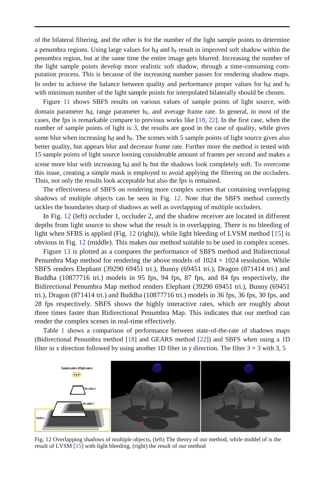<span id="page-14-0"></span>of the bilateral filtering, and the other is for the number of the light sample points to determine a penumbra regions. Using large values for  $h_d$  and  $h_r$  result in improved soft shadow within the penumbra region, but at the same time the entire image gets blurred. Increasing the number of the light sample points develop more realistic soft shadow, through a time-consuming computation process. This is because of the increasing number passes for rendering shadow maps. In order to achieve the balance between quality and performance proper values for hd and hr with minimum number of the light sample points for interpolated bilaterally should be chosen.

Figure [11](#page-13-0) shows SBFS results on various values of sample points of light source, with domain parameter  $h_d$ , range parameter  $h_r$ , and average frame rate. In general, in most of the cases, the fps is remarkable compare to previous works like [\[18, 22\]](#page-16-0). In the first case, when the number of sample points of light is 3, the results are good in the case of quality, while gives some blur when increasing  $h_d$  and  $h_r$ . The scenes with 5 sample points of light source gives also better quality, but appears blur and decrease frame rate. Further more the method is tested with 15 sample points of light source loosing considerable amount of frames per second and makes a scene more blur with increasing  $h_d$  and  $h_r$  but the shadows look completely soft. To overcome this issue, creating a simple mask is employed to avoid applying the filtering on the occluders. Thus, not only the results look acceptable but also the fps is remained.

The effectiveness of SBFS on rendering more complex scenes that containing overlapping shadows of multiple objects can be seen in Fig. [12.](#page-14-0) Note that the SBFS method correctly tackles the boundaries sharp of shadows as well as overlapping of multiple occluders.

In Fig. [12](#page-14-0) (left) occluder 1, occluder 2, and the shadow receiver are located in different depths from light source to show what the result is in overlapping. There is no bleeding of light when SFBS is applied (Fig. [12](#page-14-0) (right)), while light bleeding of LVSM method [\[15\]](#page-16-0) is obvious in Fig[. 12](#page-14-0) (middle). This makes our method suitable to be used in complex scenes.

Figure [13](#page-15-0) is plotted as a compares the performance of SBFS method and Bidirectional Penumbra Map method for rendering the above models of  $1024 \times 1024$  resolution. While SBFS renders Elephant (39290 69451 tri.), Bunny (69451 tri.), Dragon (871414 tri.) and Buddha (10877716 tri.) models in 95 fps, 94 fps, 87 fps, and 84 fps respectively, the Bidirectional Penumbra Map method renders Elephant (39290 69451 tri.), Bunny (69451 tri.), Dragon (871414 tri.) and Buddha (10877716 tri.) models in 36 fps, 36 fps, 30 fps, and 28 fps respectively. SBFS shows the highly interactive rates, which are roughly about three times faster than Bidirectional Penumbra Map. This indicates that our method can render the complex scenes in real-time effectively.

Table [1](#page-15-0) shows a comparison of performance between state-of-the-rate of shadows maps (Bidirectional Penumbra method [\[18\]](#page-16-0) and GEARS method [\[22\]](#page-16-0)) and SBFS when using a 1D filter in x direction followed by using another 1D filter in y direction. The filter  $3 \times 3$  with 3, 5



Fig. 12 Overlapping shadows of multiple objects, (left) The theory of our method, while middel of is the result of LVSM [\[15\]](#page-16-0) with light bleeding, (right) the result of our method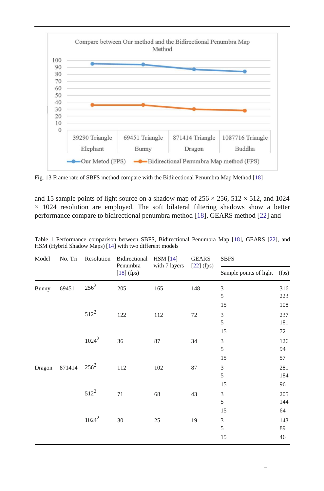<span id="page-15-0"></span>

Fig. 13 Frame rate of SBFS method compare with the Bidirectional Penumbra Map Method [\[18\]](#page-16-0)

and 15 sample points of light source on a shadow map of  $256 \times 256$ ,  $512 \times 512$ , and 1024  $\times$  1024 resolution are employed. The soft bilateral filtering shadows show a better performance compare to bidirectional penumbra method [\[18\]](#page-16-0), GEARS method [\[22\]](#page-16-0) and

| Model  | No. Tri | Resolution | Bidirectional<br>Penumbra<br>$[18]$ (fps) | HSM [14]<br>with 7 layers | <b>GEARS</b><br>$[22]$ (fps) | <b>SBFS</b>            |       |
|--------|---------|------------|-------------------------------------------|---------------------------|------------------------------|------------------------|-------|
|        |         |            |                                           |                           |                              | Sample points of light | (fps) |
| Bunny  | 69451   | $256^2$    | 205                                       | 165                       | 148                          | 3                      | 316   |
|        |         |            |                                           |                           |                              | 5                      | 223   |
|        |         |            |                                           |                           |                              | 15                     | 108   |
|        |         | $512^2$    | 122                                       | 112                       | 72                           | 3                      | 237   |
|        |         |            |                                           |                           |                              | 5                      | 181   |
|        |         |            |                                           |                           |                              | 15                     | 72    |
|        |         | $1024^2$   | 36                                        | 87                        | 34                           | $\mathfrak{Z}$         | 126   |
|        |         |            |                                           |                           |                              | 5                      | 94    |
|        |         |            |                                           |                           |                              | 15                     | 57    |
| Dragon | 871414  | $256^2$    | 112                                       | 102                       | 87                           | 3                      | 281   |
|        |         |            |                                           |                           |                              | 5                      | 184   |
|        |         |            |                                           |                           |                              | 15                     | 96    |
|        |         | $512^2$    | 71                                        | 68                        | 43                           | 3                      | 205   |
|        |         |            |                                           |                           |                              | 5                      | 144   |
|        |         |            |                                           |                           |                              | 15                     | 64    |
|        |         | $1024^2$   | 30                                        | 25                        | 19                           | 3                      | 143   |
|        |         |            |                                           |                           |                              | 5                      | 89    |
|        |         |            |                                           |                           |                              | 15                     | 46    |

Table 1 Performance comparison between SBFS, Bidirectional Penumbra Map [\[18\]](#page-16-0), GEARS [\[22\]](#page-16-0), and HSM (Hybrid Shadow Maps) [\[14\]](#page-16-0) with two different models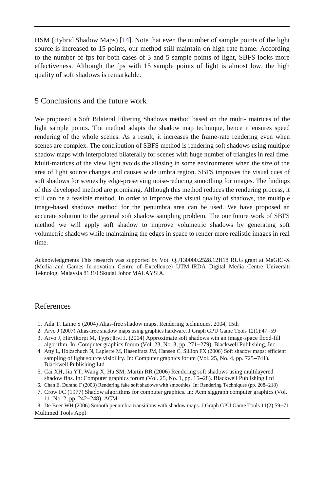<span id="page-16-1"></span>HSM (Hybrid Shadow Maps) [\[14\]](#page-16-0). Note that even the number of sample points of the light source is increased to 15 points, our method still maintain on high rate frame. According to the number of fps for both cases of 3 and 5 sample points of light, SBFS looks more effectiveness. Although the fps with 15 sample points of light is almost low, the high quality of soft shadows is remarkable.

## 5 Conclusions and the future work

We proposed a Soft Bilateral Filtering Shadows method based on the multi- matrices of the light sample points. The method adapts the shadow map technique, hence it ensures speed rendering of the whole scenes. As a result, it increases the frame-rate rendering even when scenes are complex. The contribution of SBFS method is rendering soft shadows using multiple shadow maps with interpolated bilaterally for scenes with huge number of triangles in real time. Multi-matrices of the view light avoids the aliasing in some environments when the size of the area of light source changes and causes wide umbra region. SBFS improves the visual cues of soft shadows for scenes by edge-preserving noise-reducing smoothing for images. The findings of this developed method are promising. Although this method reduces the rendering process, it still can be a feasible method. In order to improve the visual quality of shadows, the multiple image-based shadows method for the penumbra area can be used. We have proposed an accurate solution to the general soft shadow sampling problem. The our future work of SBFS method we will apply soft shadow to improve volumetric shadows by generating soft volumetric shadows while maintaining the edges in space to render more realistic images in real time.

Acknowledgments This research was supported by Vot. Q.J130000.2528.12H18 RUG grant at MaGIC-X (Media and Games In-novation Centre of Excellence) UTM-IRDA Digital Media Centre Universiti Teknologi Malaysia 81310 Skudai Johor MALAYSIA.

## References

- 1. Aila T, Laine S (2004) Alias-free shadow maps. Rendering techniques, 2004, 15th
- 2. Arvo J (2007) Alias-free shadow maps using graphics hardware. J Graph GPU Game Tools 12(1):47–59
- 3. Arvo J, Hirvikorpi M, Tyystjärvi J. (2004) Approximate soft shadows win an image‐space flood‐fill algorithm. In: Computer graphics forum (Vol. 23, No. 3, pp. 271–279). Blackwell Publishing, Inc
- 4. Atty L, Holzschuch N, Lapierre M, Hasenfratz JM, Hansen C, Sillion FX (2006) Soft shadow maps: efficient sampling of light source visibility. In: Computer graphics forum (Vol. 25, No. 4, pp. 725–741). Blackwell Publishing Ltd
- 5. Cai XH, Jia YT, Wang X, Hu SM, Martin RR (2006) Rendering soft shadows using multilayered shadow fins. In: Computer graphics forum (Vol. 25, No. 1, pp. 15–28). Blackwell Publishing Ltd
- 6. Chan E, Durand F (2003) Rendering fake soft shadows with smoothies. In: Rendering Techniques (pp. 208–218)
- 7. Crow FC (1977) Shadow algorithms for computer graphics. In: Acm siggraph computer graphics (Vol. 11, No. 2, pp. 242–248). ACM

<span id="page-16-0"></span>8. De Boer WH (2006) Smooth penumbra transitions with shadow maps. J Graph GPU Game Tools 11(2):59–71 Multimed Tools Appl